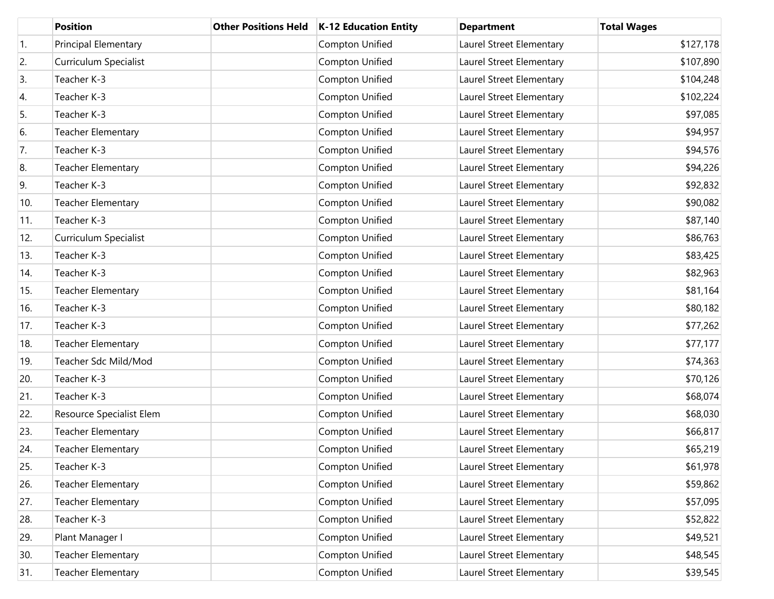|     | <b>Position</b>           | <b>Other Positions Held</b> | <b>K-12 Education Entity</b> | <b>Department</b>        | <b>Total Wages</b> |
|-----|---------------------------|-----------------------------|------------------------------|--------------------------|--------------------|
| 1.  | Principal Elementary      |                             | Compton Unified              | Laurel Street Elementary | \$127,178          |
| 2.  | Curriculum Specialist     |                             | Compton Unified              | Laurel Street Elementary | \$107,890          |
| 3.  | Teacher K-3               |                             | Compton Unified              | Laurel Street Elementary | \$104,248          |
| 4.  | Teacher K-3               |                             | Compton Unified              | Laurel Street Elementary | \$102,224          |
| 5.  | Teacher K-3               |                             | Compton Unified              | Laurel Street Elementary | \$97,085           |
| 6.  | <b>Teacher Elementary</b> |                             | Compton Unified              | Laurel Street Elementary | \$94,957           |
| 7.  | Teacher K-3               |                             | Compton Unified              | Laurel Street Elementary | \$94,576           |
| 8.  | <b>Teacher Elementary</b> |                             | Compton Unified              | Laurel Street Elementary | \$94,226           |
| 9.  | Teacher K-3               |                             | Compton Unified              | Laurel Street Elementary | \$92,832           |
| 10. | <b>Teacher Elementary</b> |                             | Compton Unified              | Laurel Street Elementary | \$90,082           |
| 11. | Teacher K-3               |                             | Compton Unified              | Laurel Street Elementary | \$87,140           |
| 12. | Curriculum Specialist     |                             | Compton Unified              | Laurel Street Elementary | \$86,763           |
| 13. | Teacher K-3               |                             | Compton Unified              | Laurel Street Elementary | \$83,425           |
| 14. | Teacher K-3               |                             | Compton Unified              | Laurel Street Elementary | \$82,963           |
| 15. | <b>Teacher Elementary</b> |                             | Compton Unified              | Laurel Street Elementary | \$81,164           |
| 16. | Teacher K-3               |                             | Compton Unified              | Laurel Street Elementary | \$80,182           |
| 17. | Teacher K-3               |                             | Compton Unified              | Laurel Street Elementary | \$77,262           |
| 18. | <b>Teacher Elementary</b> |                             | Compton Unified              | Laurel Street Elementary | \$77,177           |
| 19. | Teacher Sdc Mild/Mod      |                             | Compton Unified              | Laurel Street Elementary | \$74,363           |
| 20. | Teacher K-3               |                             | Compton Unified              | Laurel Street Elementary | \$70,126           |
| 21. | Teacher K-3               |                             | Compton Unified              | Laurel Street Elementary | \$68,074           |
| 22. | Resource Specialist Elem  |                             | Compton Unified              | Laurel Street Elementary | \$68,030           |
| 23. | <b>Teacher Elementary</b> |                             | Compton Unified              | Laurel Street Elementary | \$66,817           |
| 24. | Teacher Elementary        |                             | Compton Unified              | Laurel Street Elementary | \$65,219           |
| 25. | Teacher K-3               |                             | Compton Unified              | Laurel Street Elementary | \$61,978           |
| 26. | <b>Teacher Elementary</b> |                             | Compton Unified              | Laurel Street Elementary | \$59,862           |
| 27. | <b>Teacher Elementary</b> |                             | Compton Unified              | Laurel Street Elementary | \$57,095           |
| 28. | Teacher K-3               |                             | Compton Unified              | Laurel Street Elementary | \$52,822           |
| 29. | Plant Manager I           |                             | Compton Unified              | Laurel Street Elementary | \$49,521           |
| 30. | <b>Teacher Elementary</b> |                             | Compton Unified              | Laurel Street Elementary | \$48,545           |
| 31. | <b>Teacher Elementary</b> |                             | Compton Unified              | Laurel Street Elementary | \$39,545           |